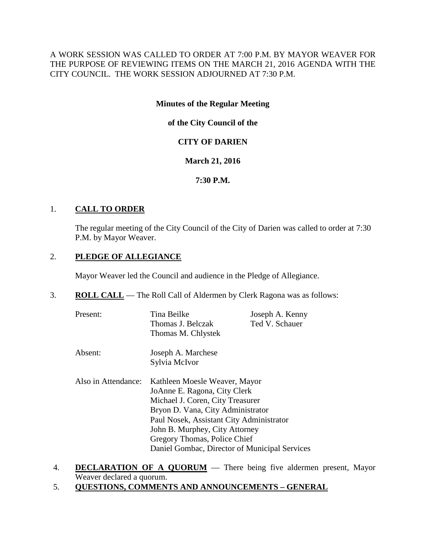# A WORK SESSION WAS CALLED TO ORDER AT 7:00 P.M. BY MAYOR WEAVER FOR THE PURPOSE OF REVIEWING ITEMS ON THE MARCH 21, 2016 AGENDA WITH THE CITY COUNCIL. THE WORK SESSION ADJOURNED AT 7:30 P.M.

## **Minutes of the Regular Meeting**

# **of the City Council of the**

# **CITY OF DARIEN**

# **March 21, 2016**

# **7:30 P.M.**

# 1. **CALL TO ORDER**

The regular meeting of the City Council of the City of Darien was called to order at 7:30 P.M. by Mayor Weaver.

# 2. **PLEDGE OF ALLEGIANCE**

Mayor Weaver led the Council and audience in the Pledge of Allegiance.

3. **ROLL CALL** — The Roll Call of Aldermen by Clerk Ragona was as follows:

| Present:            | Tina Beilke<br>Thomas J. Belczak<br>Thomas M. Chlystek                                                                                                                                                                                                                                                | Joseph A. Kenny<br>Ted V. Schauer |
|---------------------|-------------------------------------------------------------------------------------------------------------------------------------------------------------------------------------------------------------------------------------------------------------------------------------------------------|-----------------------------------|
| Absent:             | Joseph A. Marchese<br>Sylvia McIvor                                                                                                                                                                                                                                                                   |                                   |
| Also in Attendance: | Kathleen Moesle Weaver, Mayor<br>JoAnne E. Ragona, City Clerk<br>Michael J. Coren, City Treasurer<br>Bryon D. Vana, City Administrator<br>Paul Nosek, Assistant City Administrator<br>John B. Murphey, City Attorney<br>Gregory Thomas, Police Chief<br>Daniel Gombac, Director of Municipal Services |                                   |

- 4. **DECLARATION OF A QUORUM** There being five aldermen present, Mayor Weaver declared a quorum.
- 5. **QUESTIONS, COMMENTS AND ANNOUNCEMENTS – GENERAL**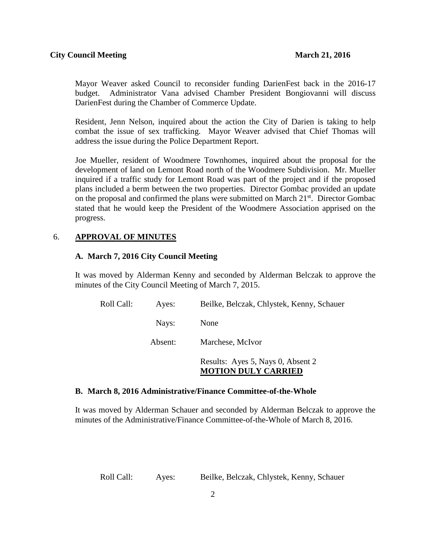Mayor Weaver asked Council to reconsider funding DarienFest back in the 2016-17 budget. Administrator Vana advised Chamber President Bongiovanni will discuss DarienFest during the Chamber of Commerce Update.

Resident, Jenn Nelson, inquired about the action the City of Darien is taking to help combat the issue of sex trafficking. Mayor Weaver advised that Chief Thomas will address the issue during the Police Department Report.

Joe Mueller, resident of Woodmere Townhomes, inquired about the proposal for the development of land on Lemont Road north of the Woodmere Subdivision. Mr. Mueller inquired if a traffic study for Lemont Road was part of the project and if the proposed plans included a berm between the two properties. Director Gombac provided an update on the proposal and confirmed the plans were submitted on March  $21<sup>st</sup>$ . Director Gombac stated that he would keep the President of the Woodmere Association apprised on the progress.

### 6. **APPROVAL OF MINUTES**

#### **A. March 7, 2016 City Council Meeting**

It was moved by Alderman Kenny and seconded by Alderman Belczak to approve the minutes of the City Council Meeting of March 7, 2015.

| Roll Call: | Ayes:   | Beilke, Belczak, Chlystek, Kenny, Schauer                       |
|------------|---------|-----------------------------------------------------------------|
|            | Nays:   | None                                                            |
|            | Absent: | Marchese, McIvor                                                |
|            |         | Results: Ayes 5, Nays 0, Absent 2<br><b>MOTION DULY CARRIED</b> |

#### **B. March 8, 2016 Administrative/Finance Committee-of-the-Whole**

It was moved by Alderman Schauer and seconded by Alderman Belczak to approve the minutes of the Administrative/Finance Committee-of-the-Whole of March 8, 2016.

Roll Call: Ayes: Beilke, Belczak, Chlystek, Kenny, Schauer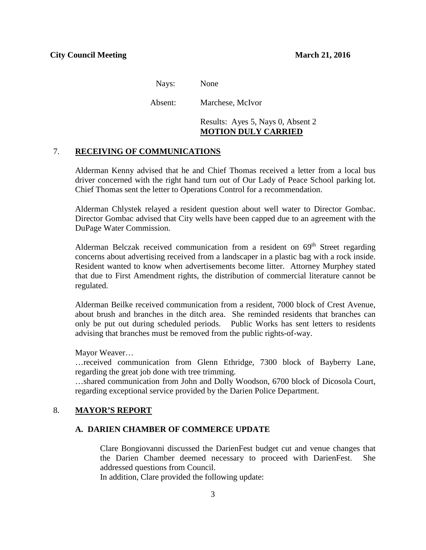Nays: None

Absent: Marchese, McIvor

Results: Ayes 5, Nays 0, Absent 2 **MOTION DULY CARRIED**

### 7. **RECEIVING OF COMMUNICATIONS**

Alderman Kenny advised that he and Chief Thomas received a letter from a local bus driver concerned with the right hand turn out of Our Lady of Peace School parking lot. Chief Thomas sent the letter to Operations Control for a recommendation.

Alderman Chlystek relayed a resident question about well water to Director Gombac. Director Gombac advised that City wells have been capped due to an agreement with the DuPage Water Commission.

Alderman Belczak received communication from a resident on  $69<sup>th</sup>$  Street regarding concerns about advertising received from a landscaper in a plastic bag with a rock inside. Resident wanted to know when advertisements become litter. Attorney Murphey stated that due to First Amendment rights, the distribution of commercial literature cannot be regulated.

Alderman Beilke received communication from a resident, 7000 block of Crest Avenue, about brush and branches in the ditch area. She reminded residents that branches can only be put out during scheduled periods. Public Works has sent letters to residents advising that branches must be removed from the public rights-of-way.

Mayor Weaver…

…received communication from Glenn Ethridge, 7300 block of Bayberry Lane, regarding the great job done with tree trimming.

…shared communication from John and Dolly Woodson, 6700 block of Dicosola Court, regarding exceptional service provided by the Darien Police Department.

### 8. **MAYOR'S REPORT**

#### **A. DARIEN CHAMBER OF COMMERCE UPDATE**

Clare Bongiovanni discussed the DarienFest budget cut and venue changes that the Darien Chamber deemed necessary to proceed with DarienFest. She addressed questions from Council.

In addition, Clare provided the following update: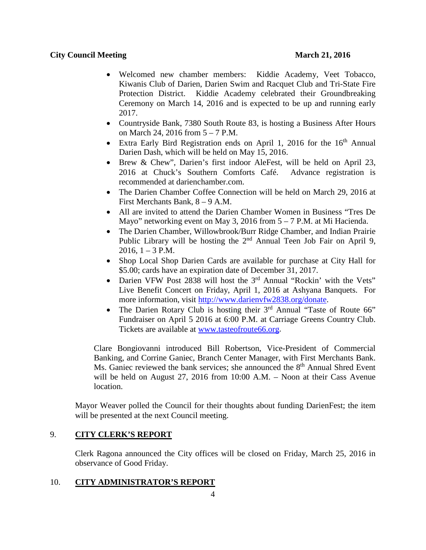### **City Council Meeting March 21, 2016**

- Welcomed new chamber members: Kiddie Academy, Veet Tobacco, Kiwanis Club of Darien, Darien Swim and Racquet Club and Tri-State Fire Protection District. Kiddie Academy celebrated their Groundbreaking Ceremony on March 14, 2016 and is expected to be up and running early 2017.
- Countryside Bank, 7380 South Route 83, is hosting a Business After Hours on March 24, 2016 from 5 – 7 P.M.
- Extra Early Bird Registration ends on April 1, 2016 for the  $16<sup>th</sup>$  Annual Darien Dash, which will be held on May 15, 2016.
- Brew & Chew", Darien's first indoor AleFest, will be held on April 23, 2016 at Chuck's Southern Comforts Café. Advance registration is recommended at darienchamber.com.
- The Darien Chamber Coffee Connection will be held on March 29, 2016 at First Merchants Bank, 8 – 9 A.M.
- All are invited to attend the Darien Chamber Women in Business "Tres De Mayo" networking event on May 3, 2016 from  $5 - 7$  P.M. at Mi Hacienda.
- The Darien Chamber, Willowbrook/Burr Ridge Chamber, and Indian Prairie Public Library will be hosting the  $2<sup>nd</sup>$  Annual Teen Job Fair on April 9,  $2016$ ,  $1 - 3$  P.M.
- Shop Local Shop Darien Cards are available for purchase at City Hall for \$5.00; cards have an expiration date of December 31, 2017.
- Darien VFW Post 2838 will host the 3<sup>rd</sup> Annual "Rockin' with the Vets" Live Benefit Concert on Friday, April 1, 2016 at Ashyana Banquets. For more information, visit [http://www.darienvfw2838.org/donate.](http://www.darienvfw2838.org/donate)
- The Darien Rotary Club is hosting their  $3<sup>rd</sup>$  Annual "Taste of Route 66" Fundraiser on April 5 2016 at 6:00 P.M. at Carriage Greens Country Club. Tickets are available at [www.tasteofroute66.org.](http://www.tasteofroute66.org/)

Clare Bongiovanni introduced Bill Robertson, Vice-President of Commercial Banking, and Corrine Ganiec, Branch Center Manager, with First Merchants Bank. Ms. Ganiec reviewed the bank services; she announced the 8<sup>th</sup> Annual Shred Event will be held on August 27, 2016 from 10:00 A.M. – Noon at their Cass Avenue location.

Mayor Weaver polled the Council for their thoughts about funding DarienFest; the item will be presented at the next Council meeting.

## 9. **CITY CLERK'S REPORT**

Clerk Ragona announced the City offices will be closed on Friday, March 25, 2016 in observance of Good Friday.

## 10. **CITY ADMINISTRATOR'S REPORT**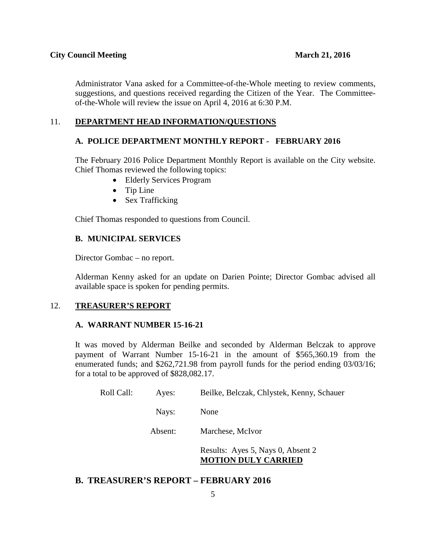Administrator Vana asked for a Committee-of-the-Whole meeting to review comments, suggestions, and questions received regarding the Citizen of the Year. The Committeeof-the-Whole will review the issue on April 4, 2016 at 6:30 P.M.

## 11. **DEPARTMENT HEAD INFORMATION/QUESTIONS**

#### **A. POLICE DEPARTMENT MONTHLY REPORT - FEBRUARY 2016**

The February 2016 Police Department Monthly Report is available on the City website. Chief Thomas reviewed the following topics:

- Elderly Services Program
- Tip Line
- Sex Trafficking

Chief Thomas responded to questions from Council.

#### **B. MUNICIPAL SERVICES**

Director Gombac – no report.

Alderman Kenny asked for an update on Darien Pointe; Director Gombac advised all available space is spoken for pending permits.

### 12. **TREASURER'S REPORT**

#### **A. WARRANT NUMBER 15-16-21**

It was moved by Alderman Beilke and seconded by Alderman Belczak to approve payment of Warrant Number 15-16-21 in the amount of \$565,360.19 from the enumerated funds; and \$262,721.98 from payroll funds for the period ending 03/03/16; for a total to be approved of \$828,082.17.

| Roll Call: | Ayes:   | Beilke, Belczak, Chlystek, Kenny, Schauer                       |
|------------|---------|-----------------------------------------------------------------|
|            | Nays:   | None                                                            |
|            | Absent: | Marchese, McIvor                                                |
|            |         | Results: Ayes 5, Nays 0, Absent 2<br><b>MOTION DULY CARRIED</b> |

## **B. TREASURER'S REPORT – FEBRUARY 2016**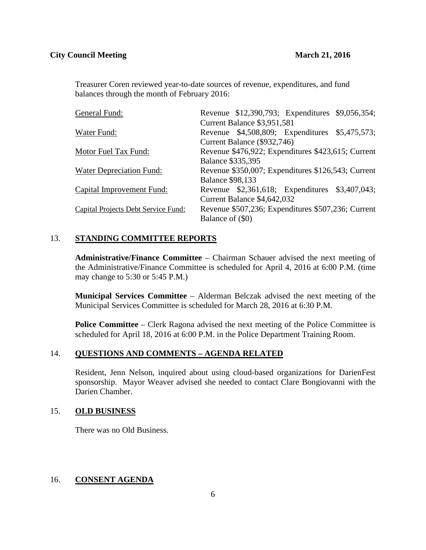Treasurer Coren reviewed year-to-date sources of revenue, expenditures, and fund balances through the month of February 2016:

| General Fund:                       | Revenue \$12,390,793; Expenditures \$9,056,354;    |
|-------------------------------------|----------------------------------------------------|
|                                     | Current Balance \$3,951,581                        |
| Water Fund:                         | Revenue \$4,508,809; Expenditures \$5,475,573;     |
|                                     | Current Balance (\$932,746)                        |
| Motor Fuel Tax Fund:                | Revenue \$476,922; Expenditures \$423,615; Current |
|                                     | <b>Balance \$335,395</b>                           |
| Water Depreciation Fund:            | Revenue \$350,007; Expenditures \$126,543; Current |
|                                     | <b>Balance \$98,133</b>                            |
| Capital Improvement Fund:           | Revenue \$2,361,618; Expenditures \$3,407,043;     |
|                                     | Current Balance \$4,642,032                        |
| Capital Projects Debt Service Fund: | Revenue \$507,236; Expenditures \$507,236; Current |
|                                     | Balance of (\$0)                                   |

# 13. **STANDING COMMITTEE REPORTS**

**Administrative/Finance Committee** – Chairman Schauer advised the next meeting of the Administrative/Finance Committee is scheduled for April 4, 2016 at 6:00 P.M. (time may change to 5:30 or 5:45 P.M.)

**Municipal Services Committee** – Alderman Belczak advised the next meeting of the Municipal Services Committee is scheduled for March 28, 2016 at 6:30 P.M.

**Police Committee** – Clerk Ragona advised the next meeting of the Police Committee is scheduled for April 18, 2016 at 6:00 P.M. in the Police Department Training Room.

## 14. **QUESTIONS AND COMMENTS – AGENDA RELATED**

Resident, Jenn Nelson, inquired about using cloud-based organizations for DarienFest sponsorship. Mayor Weaver advised she needed to contact Clare Bongiovanni with the Darien Chamber.

## 15. **OLD BUSINESS**

There was no Old Business.

## 16. **CONSENT AGENDA**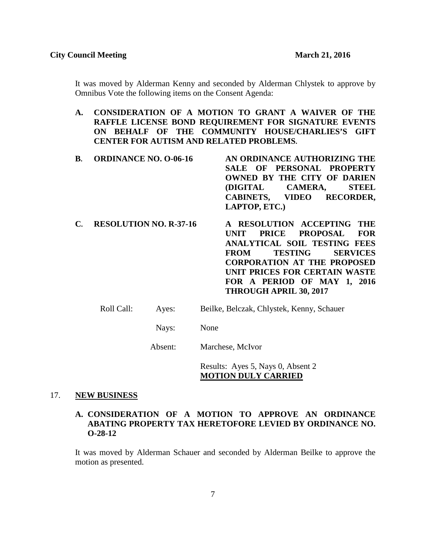It was moved by Alderman Kenny and seconded by Alderman Chlystek to approve by Omnibus Vote the following items on the Consent Agenda:

- **A. CONSIDERATION OF A MOTION TO GRANT A WAIVER OF THE RAFFLE LICENSE BOND REQUIREMENT FOR SIGNATURE EVENTS ON BEHALF OF THE COMMUNITY HOUSE/CHARLIES'S GIFT CENTER FOR AUTISM AND RELATED PROBLEMS.**
- **B. ORDINANCE NO. O-06-16 AN ORDINANCE AUTHORIZING THE SALE OF PERSONAL PROPERTY OWNED BY THE CITY OF DARIEN (DIGITAL CAMERA, STEEL CABINETS, VIDEO RECORDER, LAPTOP, ETC.)**
- **C. RESOLUTION NO. R-37-16 A RESOLUTION ACCEPTING THE UNIT PRICE PROPOSAL FOR ANALYTICAL SOIL TESTING FEES FROM TESTING SERVICES CORPORATION AT THE PROPOSED UNIT PRICES FOR CERTAIN WASTE FOR A PERIOD OF MAY 1, 2016 THROUGH APRIL 30, 2017**
	- Roll Call: Ayes: Beilke, Belczak, Chlystek, Kenny, Schauer
		- Nays: None

Absent: Marchese, McIvor

Results: Ayes 5, Nays 0, Absent 2 **MOTION DULY CARRIED**

#### 17. **NEW BUSINESS**

### **A. CONSIDERATION OF A MOTION TO APPROVE AN ORDINANCE ABATING PROPERTY TAX HERETOFORE LEVIED BY ORDINANCE NO. O-28-12**

It was moved by Alderman Schauer and seconded by Alderman Beilke to approve the motion as presented.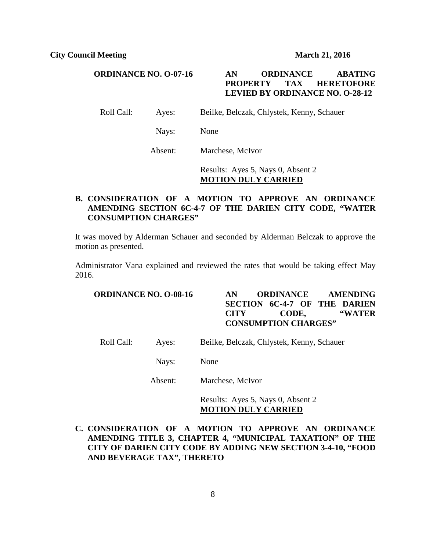### **ORDINANCE NO. O-07-16 AN ORDINANCE ABATING PROPERTY TAX HERETOFORE LEVIED BY ORDINANCE NO. O-28-12**

Roll Call: Ayes: Beilke, Belczak, Chlystek, Kenny, Schauer

Nays: None

Absent: Marchese, McIvor

Results: Ayes 5, Nays 0, Absent 2 **MOTION DULY CARRIED**

## **B. CONSIDERATION OF A MOTION TO APPROVE AN ORDINANCE AMENDING SECTION 6C-4-7 OF THE DARIEN CITY CODE, "WATER CONSUMPTION CHARGES"**

It was moved by Alderman Schauer and seconded by Alderman Belczak to approve the motion as presented.

Administrator Vana explained and reviewed the rates that would be taking effect May 2016.

| <b>ORDINANCE NO. O-08-16</b> |         |      | AN                                         | <b>ORDINANCE</b> |       |  | <b>AMENDING</b><br><b>SECTION 6C-4-7 OF THE DARIEN</b> |
|------------------------------|---------|------|--------------------------------------------|------------------|-------|--|--------------------------------------------------------|
|                              |         |      | <b>CITY</b><br><b>CONSUMPTION CHARGES"</b> |                  | CODE, |  | "WATER                                                 |
| Roll Call:                   | Ayes:   |      | Beilke, Belczak, Chlystek, Kenny, Schauer  |                  |       |  |                                                        |
|                              | Nays:   | None |                                            |                  |       |  |                                                        |
|                              | Absent: |      | Marchese, McIvor                           |                  |       |  |                                                        |

Results: Ayes 5, Nays 0, Absent 2 **MOTION DULY CARRIED**

**C. CONSIDERATION OF A MOTION TO APPROVE AN ORDINANCE AMENDING TITLE 3, CHAPTER 4, "MUNICIPAL TAXATION" OF THE CITY OF DARIEN CITY CODE BY ADDING NEW SECTION 3-4-10, "FOOD AND BEVERAGE TAX", THERETO**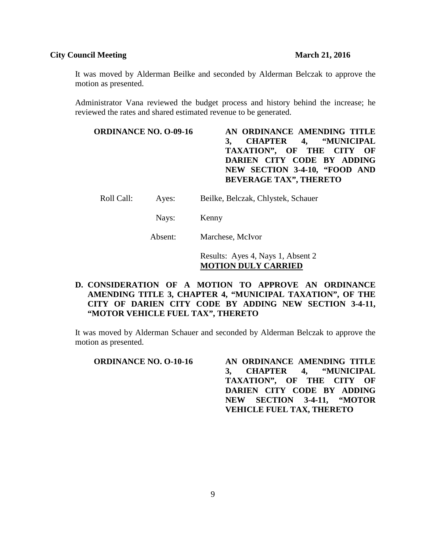### **City Council Meeting 21, 2016**

It was moved by Alderman Beilke and seconded by Alderman Belczak to approve the motion as presented.

Administrator Vana reviewed the budget process and history behind the increase; he reviewed the rates and shared estimated revenue to be generated.

| AN ORDINANCE AMENDING TITLE   |
|-------------------------------|
| 3, CHAPTER 4, "MUNICIPAL      |
| TAXATION", OF THE CITY OF     |
| DARIEN CITY CODE BY ADDING    |
| NEW SECTION 3-4-10, "FOOD AND |
| <b>BEVERAGE TAX", THERETO</b> |
|                               |

Roll Call: Ayes: Beilke, Belczak, Chlystek, Schauer

Nays: Kenny

Absent: Marchese, McIvor

Results: Ayes 4, Nays 1, Absent 2 **MOTION DULY CARRIED**

# **D. CONSIDERATION OF A MOTION TO APPROVE AN ORDINANCE AMENDING TITLE 3, CHAPTER 4, "MUNICIPAL TAXATION", OF THE CITY OF DARIEN CITY CODE BY ADDING NEW SECTION 3-4-11, "MOTOR VEHICLE FUEL TAX", THERETO**

It was moved by Alderman Schauer and seconded by Alderman Belczak to approve the motion as presented.

| <b>ORDINANCE NO. O-10-16</b> | AN ORDINANCE AMENDING TITLE      |
|------------------------------|----------------------------------|
|                              | 3, CHAPTER 4, "MUNICIPAL         |
|                              | TAXATION", OF THE CITY OF        |
|                              | DARIEN CITY CODE BY ADDING       |
|                              | NEW SECTION 3-4-11, "MOTOR       |
|                              | <b>VEHICLE FUEL TAX, THERETO</b> |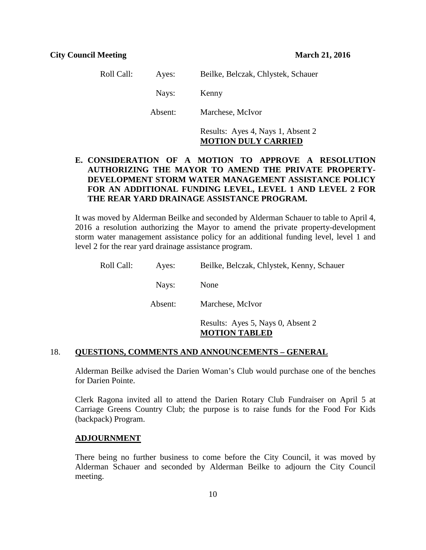| Roll Call: | Ayes:   | Beilke, Belczak, Chlystek, Schauer |
|------------|---------|------------------------------------|
|            | Nays:   | Kenny                              |
|            | Absent: | Marchese, McIvor                   |
|            |         | Results: Ayes 4, Nays 1, Absent 2  |

# **E. CONSIDERATION OF A MOTION TO APPROVE A RESOLUTION AUTHORIZING THE MAYOR TO AMEND THE PRIVATE PROPERTY-DEVELOPMENT STORM WATER MANAGEMENT ASSISTANCE POLICY FOR AN ADDITIONAL FUNDING LEVEL, LEVEL 1 AND LEVEL 2 FOR THE REAR YARD DRAINAGE ASSISTANCE PROGRAM.**

**MOTION DULY CARRIED**

It was moved by Alderman Beilke and seconded by Alderman Schauer to table to April 4, 2016 a resolution authorizing the Mayor to amend the private property-development storm water management assistance policy for an additional funding level, level 1 and level 2 for the rear yard drainage assistance program.

| Roll Call: | Ayes:   | Beilke, Belczak, Chlystek, Kenny, Schauer                 |
|------------|---------|-----------------------------------------------------------|
|            | Nays:   | None                                                      |
|            | Absent: | Marchese, McIvor                                          |
|            |         | Results: Ayes 5, Nays 0, Absent 2<br><b>MOTION TABLED</b> |

#### 18. **QUESTIONS, COMMENTS AND ANNOUNCEMENTS – GENERAL**

Alderman Beilke advised the Darien Woman's Club would purchase one of the benches for Darien Pointe.

Clerk Ragona invited all to attend the Darien Rotary Club Fundraiser on April 5 at Carriage Greens Country Club; the purpose is to raise funds for the Food For Kids (backpack) Program.

#### **ADJOURNMENT**

There being no further business to come before the City Council, it was moved by Alderman Schauer and seconded by Alderman Beilke to adjourn the City Council meeting.